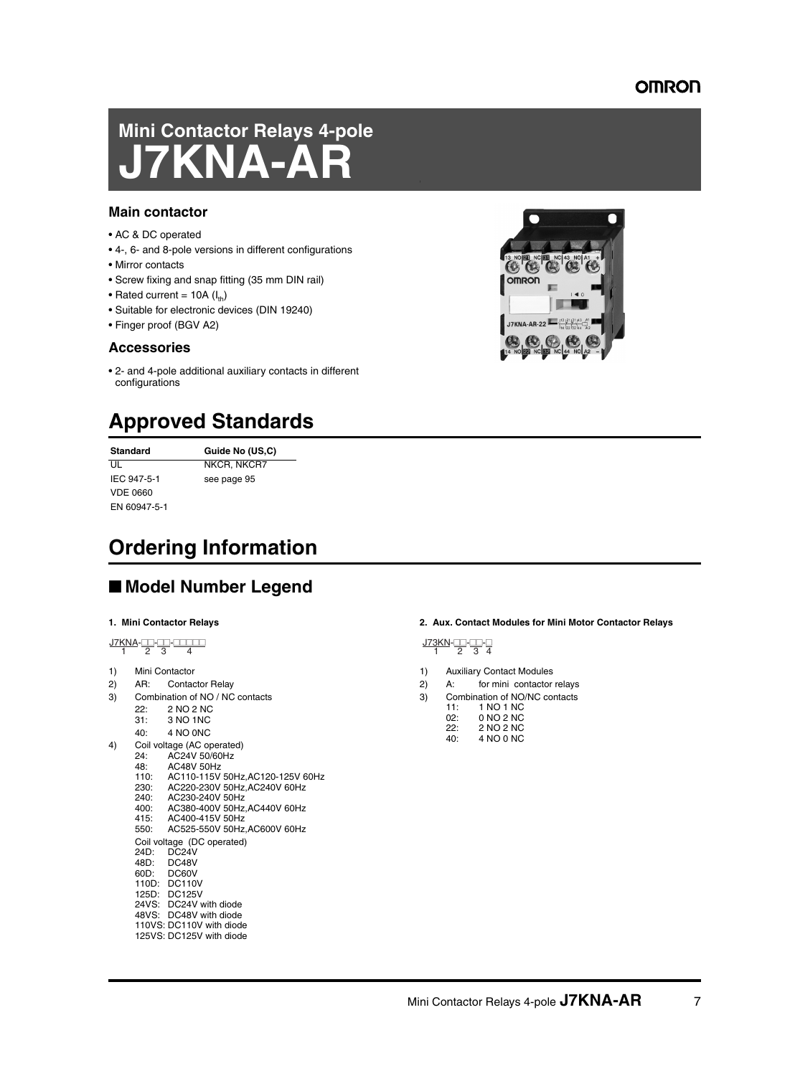## OMRON

# **Mini Contactor Relays 4-pole JANA-A**

#### **Main contactor**

- AC & DC operated
- 4-, 6- and 8-pole versions in different configurations
- Mirror contacts
- Screw fixing and snap fitting (35 mm DIN rail)
- Rated current =  $10A (I<sub>th</sub>)$
- Suitable for electronic devices (DIN 19240)
- Finger proof (BGV A2)

### **Accessories**

• 2- and 4-pole additional auxiliary contacts in different configurations

# **Approved Standards**

**Standard Guide No (US,C)** UL NKCR, NKCR7 IEC 947-5-1 see page 95 VDE 0660 EN 60947-5-1

# **Ordering Information**

# ■ **Model Number Legend**

#### **1. Mini Contactor Relays**

J7KNA-##-##-##### 1 23 4

- 1) Mini Contactor
- 2) AR: Contactor Relay
- 3) Combination of NO / NC contacts
	- 22: 2 NO 2 NC<br>31: 3 NO 1 NC
	- 3 NO 1NC
	- 40: 4 NO 0NC
- 4) Coil voltage (AC operated)<br>24: AC24V 50/60Hz
	- 24: AC24V 50/60Hz<br>48: AC48V 50Hz
	- 48: AC48V 50Hz<br>110: AC110-115V
	- 110: AC110-115V 50Hz, AC120-125V 60Hz<br>230: AC220-230V 50Hz AC240V 60Hz 230: AC220-230V 50Hz,AC240V 60Hz
	- 240: AC230-240V 50Hz
	- 400: AC380-400V 50Hz,AC440V 60Hz
	- 415: AC400-415V 50Hz 550: AC525-550V 50Hz,AC600V 60Hz
	-
	- Coil voltage (DC operated)<br>24D: DC24V DC24V
	-
	- 48D: DC48V<br>60D: DC60V DC60V
	- 110D: DC110V
	- 125D: DC125V
	- 24VS: DC24V with diode 48VS: DC48V with diode
	- 110VS: DC110V with diode
	- 125VS: DC125V with diode

#### **2. Aux. Contact Modules for Mini Motor Contactor Relays**

$$
\frac{\text{J73KN}}{1} \stackrel{\text{1}}{2} \stackrel{\text{2}}{3} \stackrel{\text{3}}{4}
$$

- 1) Auxiliary Contact Modules
- 2) A: for mini contactor relays
- 3) Combination of NO/NC contacts
	- 11: 1 NO 1 NC<br>02: 0 NO 2 NC
	- 02: 0 NO 2 NC<br>22: 2 NO 2 NC 2 NO 2 NC
		- $40<sup>o</sup>$   $4 NQ_0 NC_1$

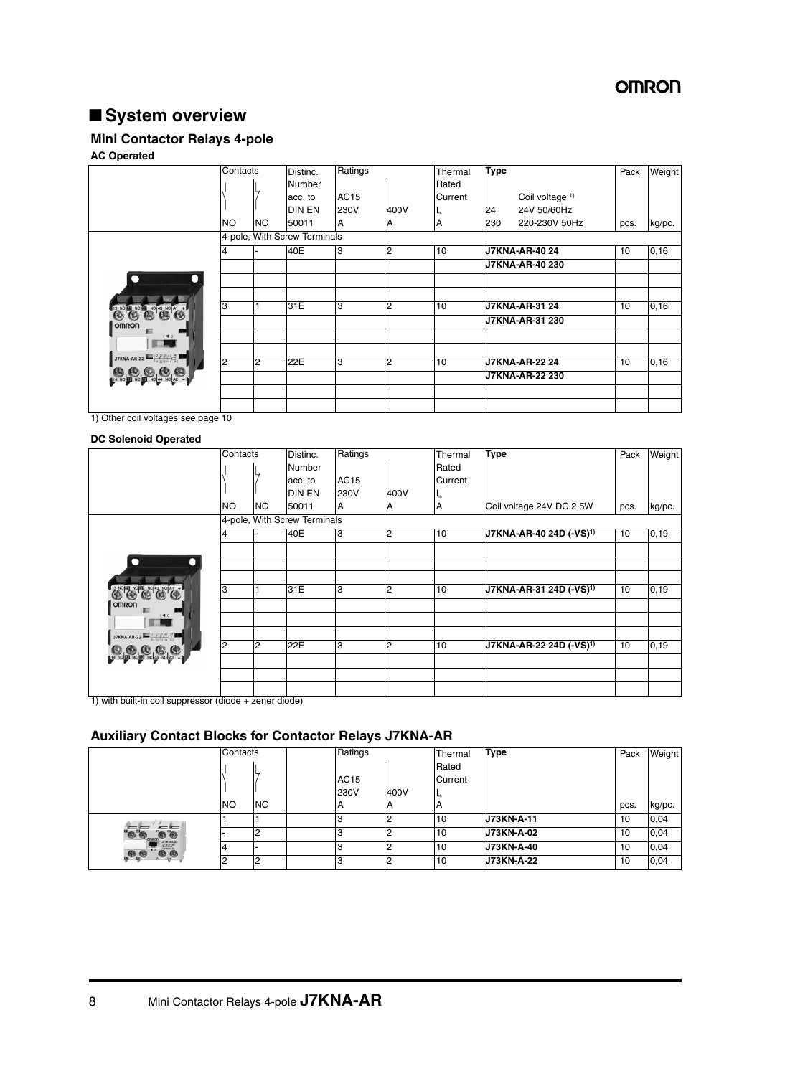# **OMRON**

# ■ **System overview**

## **Mini Contactor Relays 4-pole**

### **AC Operated**

|                                                                                                                                           | Contacts       |                | Distinc.                     | Ratings | Thermal        |                   | <b>Type</b> |                        | Pack | Weight |
|-------------------------------------------------------------------------------------------------------------------------------------------|----------------|----------------|------------------------------|---------|----------------|-------------------|-------------|------------------------|------|--------|
|                                                                                                                                           |                |                | Number                       |         |                | Rated             |             |                        |      |        |
|                                                                                                                                           |                |                | acc. to                      | AC15    |                | Current           |             | Coil voltage 1)        |      |        |
|                                                                                                                                           |                |                | <b>DIN EN</b>                | 230V    | 400V           | $\mathbf{I}_{th}$ | 24          | 24V 50/60Hz            |      |        |
|                                                                                                                                           | <b>NO</b>      | <b>NC</b>      | 50011                        | A       | IA.            | А                 | 230         | 220-230V 50Hz          | pcs. | kg/pc. |
|                                                                                                                                           |                |                | 4-pole, With Screw Terminals |         |                |                   |             |                        |      |        |
|                                                                                                                                           | 4              |                | 40E                          | 3       | 2              | 10                |             | <b>J7KNA-AR-4024</b>   | 10   | 0, 16  |
|                                                                                                                                           |                |                |                              |         |                |                   |             | <b>J7KNA-AR-40 230</b> |      |        |
| ∩<br>$\blacksquare$                                                                                                                       |                |                |                              |         |                |                   |             |                        |      |        |
|                                                                                                                                           |                |                |                              |         |                |                   |             |                        |      |        |
| <b>ES CO CO CO CO ALLE</b>                                                                                                                | 3              |                | 31E                          | 3       | $\overline{2}$ | 10                |             | <b>J7KNA-AR-31 24</b>  | 10   | 0, 16  |
| <b>OMRON</b>                                                                                                                              |                |                |                              |         |                |                   |             | J7KNA-AR-31 230        |      |        |
| $\sqrt{40}$                                                                                                                               |                |                |                              |         |                |                   |             |                        |      |        |
| <b>The Contract of the Contract of the Contract of the Contract of the Contract of the Contract of the Contract o</b>                     |                |                |                              |         |                |                   |             |                        |      |        |
| $\text{J7KNA-AR-22} \xrightarrow[14]{[13 \cdot [21 \cdot [31] + 3]{\text{A}1} \atop {14 \cdot [22 \cdot [32] \cdot 44 \cdot \text{A}2} }$ | $\overline{2}$ | $\overline{2}$ | 22E                          | IЗ      | $\overline{2}$ | 10                |             | <b>J7KNA-AR-22 24</b>  | 10   | 0, 16  |
| 14 No 20 No 20 No 20 10 12                                                                                                                |                |                |                              |         |                |                   |             | J7KNA-AR-22 230        |      |        |
|                                                                                                                                           |                |                |                              |         |                |                   |             |                        |      |        |
|                                                                                                                                           |                |                |                              |         |                |                   |             |                        |      |        |

1) Other coil voltages see page 10

#### **DC Solenoid Operated**

|                                                                                                                                   | Contacts |    | Distinc.                     | Ratings |      |                   | <b>Type</b>                         | Pack | Weight |
|-----------------------------------------------------------------------------------------------------------------------------------|----------|----|------------------------------|---------|------|-------------------|-------------------------------------|------|--------|
|                                                                                                                                   |          |    | <b>Number</b>                |         |      | Rated             |                                     |      |        |
|                                                                                                                                   |          |    | acc. to                      | AC15    |      | Current           |                                     |      |        |
|                                                                                                                                   |          |    | <b>DIN EN</b>                | 230V    | 400V | $\mathbf{I}_{th}$ |                                     |      |        |
|                                                                                                                                   | NO.      | NC | 50011                        | A       | Α    | A                 | Coil voltage 24V DC 2,5W            | pcs. | kg/pc. |
|                                                                                                                                   |          |    | 4-pole, With Screw Terminals |         |      |                   |                                     |      |        |
|                                                                                                                                   | 4        |    | 40E                          | 3       | 2    | 10                | J7KNA-AR-40 24D (-VS) <sup>1)</sup> | 10   | 0, 19  |
|                                                                                                                                   |          |    |                              |         |      |                   |                                     |      |        |
|                                                                                                                                   |          |    |                              |         |      |                   |                                     |      |        |
|                                                                                                                                   |          |    |                              |         |      |                   |                                     |      |        |
| C C C C C C                                                                                                                       | 3        |    | 31E                          | lЗ      | 2    | 10                | J7KNA-AR-31 24D (-VS) <sup>1)</sup> | 10   | 0, 19  |
| <b>OMRON</b>                                                                                                                      |          |    |                              |         |      |                   |                                     |      |        |
| 1 40                                                                                                                              |          |    |                              |         |      |                   |                                     |      |        |
| $\text{J7KNA-AR-22} \xrightarrow[\text{14}]{}^{\{3\}}\text{I}^{\{2\}}\text{I}^{\{3\}},\text{I}^{\{4\}}\text{I}^{\{5\}}_{\{6\}}$}$ |          |    |                              |         |      |                   |                                     |      |        |
| 000000000                                                                                                                         | 2        | 2  | 22E                          | 3       | 2    | 10                | J7KNA-AR-22 24D (-VS) <sup>1)</sup> | 10   | 0, 19  |
|                                                                                                                                   |          |    |                              |         |      |                   |                                     |      |        |
|                                                                                                                                   |          |    |                              |         |      |                   |                                     |      |        |
|                                                                                                                                   |          |    |                              |         |      |                   |                                     |      |        |

1) with built-in coil suppressor (diode + zener diode)

## **Auxiliary Contact Blocks for Contactor Relays J7KNA-AR**

|                                                                                                                                                                       | Contacts  |           | Ratings     |      | Thermal           | <b>Type</b>       | Pack | Weight |
|-----------------------------------------------------------------------------------------------------------------------------------------------------------------------|-----------|-----------|-------------|------|-------------------|-------------------|------|--------|
|                                                                                                                                                                       |           |           |             |      | Rated             |                   |      |        |
|                                                                                                                                                                       |           |           | AC15        |      | Current           |                   |      |        |
|                                                                                                                                                                       |           |           | <b>230V</b> | 400V | $\mathbf{I}_{th}$ |                   |      |        |
|                                                                                                                                                                       | <b>NO</b> | <b>NC</b> | A           | IА   | А                 |                   | pcs. | kg/pc. |
| $-1$<br>$- -$                                                                                                                                                         |           |           |             |      | 10                | <b>J73KN-A-11</b> | 10   | 0,04   |
| <b>ED CO</b> CONTROL<br>**                                                                                                                                            |           |           |             |      | 10                | J73KN-A-02        | 10   | 0,04   |
| $\begin{array}{ c c c c c } \hline & J73K\mathrm{N}+2.22 & \\ \hline & \phantom{-}0 & 0 & 0 & 0 \\ \hline & 0 & 0 & 0 & 0 \\ 1 & 0 & 0 & 0 & 0 \\ \hline \end{array}$ |           |           |             |      | 10                | J73KN-A-40        | 10   | 0,04   |
| $\bullet$<br>$\mathcal{B}_{\mathbf{g}}\mathcal{B}_{\mathbf{g}}$<br>74                                                                                                 |           |           |             |      | 10                | <b>J73KN-A-22</b> | 10   | 0.04   |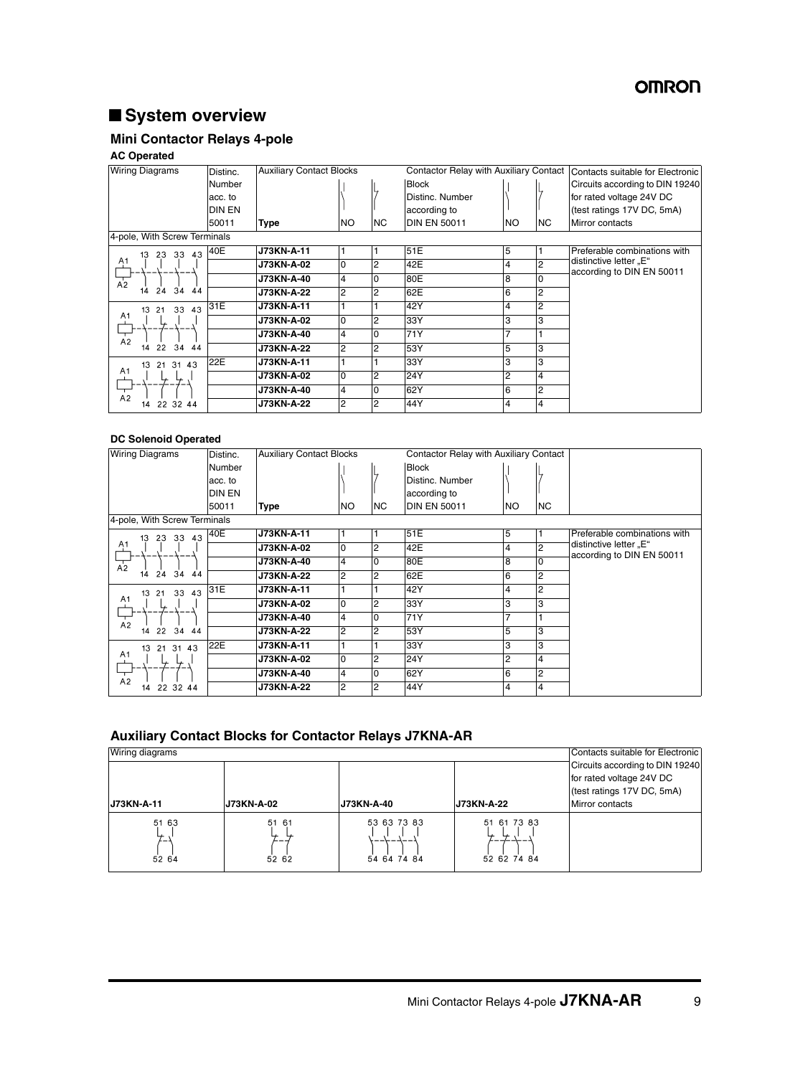# ■ **System overview**

## **Mini Contactor Relays 4-pole**

#### **AC Operated**

| <b>Wiring Diagrams</b>                   | Distinc.      |                   | <b>Auxiliary Contact Blocks</b><br>Contactor Relay with Auxiliary Contact |           |                     |           | Contacts suitable for Electronic |                                                     |
|------------------------------------------|---------------|-------------------|---------------------------------------------------------------------------|-----------|---------------------|-----------|----------------------------------|-----------------------------------------------------|
|                                          | <b>Number</b> |                   |                                                                           |           | <b>Block</b>        |           |                                  | Circuits according to DIN 19240                     |
|                                          | acc. to       |                   |                                                                           |           | Distinc. Number     |           |                                  | for rated voltage 24V DC                            |
|                                          | <b>DIN EN</b> |                   |                                                                           |           | according to        |           |                                  | (test ratings 17V DC, 5mA)                          |
|                                          | 50011         | <b>Type</b>       | <b>NO</b>                                                                 | <b>NC</b> | <b>DIN EN 50011</b> | <b>NO</b> | <b>NC</b>                        | Mirror contacts                                     |
| 4-pole, With Screw Terminals             |               |                   |                                                                           |           |                     |           |                                  |                                                     |
| 23 33 43<br>13                           | 40E           | J73KN-A-11        |                                                                           |           | 51E                 | 5         |                                  | Preferable combinations with                        |
| A1                                       |               | <b>J73KN-A-02</b> | l0                                                                        | 2         | 42E                 | 4         | $\overline{2}$                   | distinctive letter "E"<br>according to DIN EN 50011 |
| $\overline{A_2}$<br>34<br>24<br>44<br>14 |               | <b>J73KN-A-40</b> | $\overline{4}$                                                            | 0         | 80E                 | 8         | $\Omega$                         |                                                     |
|                                          |               | <b>J73KN-A-22</b> | 2                                                                         | 2         | 62E                 | 6         | $\overline{2}$                   |                                                     |
| 33 43<br>21<br>13                        | 31E           | J73KN-A-11        |                                                                           |           | 42Y                 | 4         | $\overline{2}$                   |                                                     |
| A <sub>1</sub>                           |               | <b>J73KN-A-02</b> | l0                                                                        | 2         | 33Y                 | 3         | 3                                |                                                     |
| A <sub>2</sub>                           |               | <b>J73KN-A-40</b> | $\overline{4}$                                                            | 0         | 71Y                 | 7         |                                  |                                                     |
| 22 34 44<br>14                           |               | <b>J73KN-A-22</b> | $\overline{2}$                                                            | 2         | 53Y                 | 5         | 3                                |                                                     |
| 21 31 43<br>13                           | 22E           | J73KN-A-11        |                                                                           |           | 33Y                 | 3         | 3                                |                                                     |
| A <sub>1</sub><br>A <sub>2</sub>         |               | <b>J73KN-A-02</b> | $\overline{0}$                                                            | 2         | 24Y                 | 2         | $\overline{4}$                   |                                                     |
|                                          |               | <b>J73KN-A-40</b> | $\overline{4}$                                                            | $\Omega$  | 62Y                 | 6         | $\overline{c}$                   |                                                     |
| 22 32 44<br>14                           |               | J73KN-A-22        | $\overline{2}$                                                            | 2         | 44Y                 | 4         | $\overline{4}$                   |                                                     |

#### **DC Solenoid Operated**

| <b>Wiring Diagrams</b>         | Distinc.      | <b>Auxiliary Contact Blocks</b> |                | <b>Contactor Relay with Auxiliary Contact</b> |                     |                |                |                                                     |
|--------------------------------|---------------|---------------------------------|----------------|-----------------------------------------------|---------------------|----------------|----------------|-----------------------------------------------------|
|                                | <b>Number</b> |                                 |                |                                               | <b>Block</b>        |                |                |                                                     |
|                                | acc. to       |                                 |                |                                               | Distinc. Number     |                |                |                                                     |
|                                | <b>DIN EN</b> |                                 |                |                                               | according to        |                |                |                                                     |
|                                | 50011         | Type                            | NO.            | NC.                                           | <b>DIN EN 50011</b> | <b>NO</b>      | <b>NC</b>      |                                                     |
| 4-pole, With Screw Terminals   |               |                                 |                |                                               |                     |                |                |                                                     |
| 33 43<br>23<br>13              | 40E           | J73KN-A-11                      |                |                                               | 51E                 | 5              |                | Preferable combinations with                        |
| A <sub>1</sub>                 |               | <b>J73KN-A-02</b>               | l0             | 2                                             | 42E                 | 4              | $\overline{2}$ | distinctive letter "E"<br>according to DIN EN 50011 |
| $\overline{A_2}$               |               | J73KN-A-40                      | 4              |                                               | 80E                 | 8              | $\overline{0}$ |                                                     |
| 24 34<br>$\overline{44}$<br>14 |               | J73KN-A-22                      | 2              | 2                                             | 62E                 | 6              | $\overline{2}$ |                                                     |
| 33 43<br>13<br>21              | 31E           | J73KN-A-11                      |                |                                               | 42Y                 | 4              | $\overline{2}$ |                                                     |
| A <sub>1</sub><br>⋤            |               | J73KN-A-02                      | $\Omega$       | 2                                             | 33Y                 | 3              | 3              |                                                     |
| ┬<br>A <sub>2</sub>            |               | <b>J73KN-A-40</b>               | $\overline{4}$ |                                               | 71Y                 | $\overline{7}$ |                |                                                     |
| 34 44<br>22<br>14              |               | J73KN-A-22                      | 2              | 2                                             | 53Y                 | 5              | 3              |                                                     |
| 21 31 43<br>13                 | 22E           | J73KN-A-11                      |                |                                               | 33Y                 | 3              | lЗ             |                                                     |
| A1                             |               | J73KN-A-02                      | l0             | 2                                             | 24Y                 | $\overline{2}$ | $\overline{4}$ |                                                     |
| —<br>—<br>A2                   |               | J73KN-A-40                      | 4              |                                               | 62Y                 | 6              | $\overline{2}$ |                                                     |
| 22 32 44<br>14                 |               | J73KN-A-22                      | 2              | 2                                             | 44Y                 | 4              | $\overline{4}$ |                                                     |

## **Auxiliary Contact Blocks for Contactor Relays J7KNA-AR**

| Wiring diagrams               |                                       |                            |                                      | Contacts suitable for Electronic                                                          |
|-------------------------------|---------------------------------------|----------------------------|--------------------------------------|-------------------------------------------------------------------------------------------|
|                               |                                       |                            |                                      | Circuits according to DIN 19240<br>for rated voltage 24V DC<br>(test ratings 17V DC, 5mA) |
| <b>J73KN-A-11</b>             | <b>J73KN-A-02</b>                     | <b>J73KN-A-40</b>          | J73KN-A-22                           | Mirror contacts                                                                           |
| 51 63<br>┶<br>، ــ ـ<br>52 64 | 51<br>- 61<br>$\overline{ }$<br>52 62 | 53 63 73 83<br>54 64 74 84 | 51 61 73 83<br>↳<br>↳<br>52 62 74 84 |                                                                                           |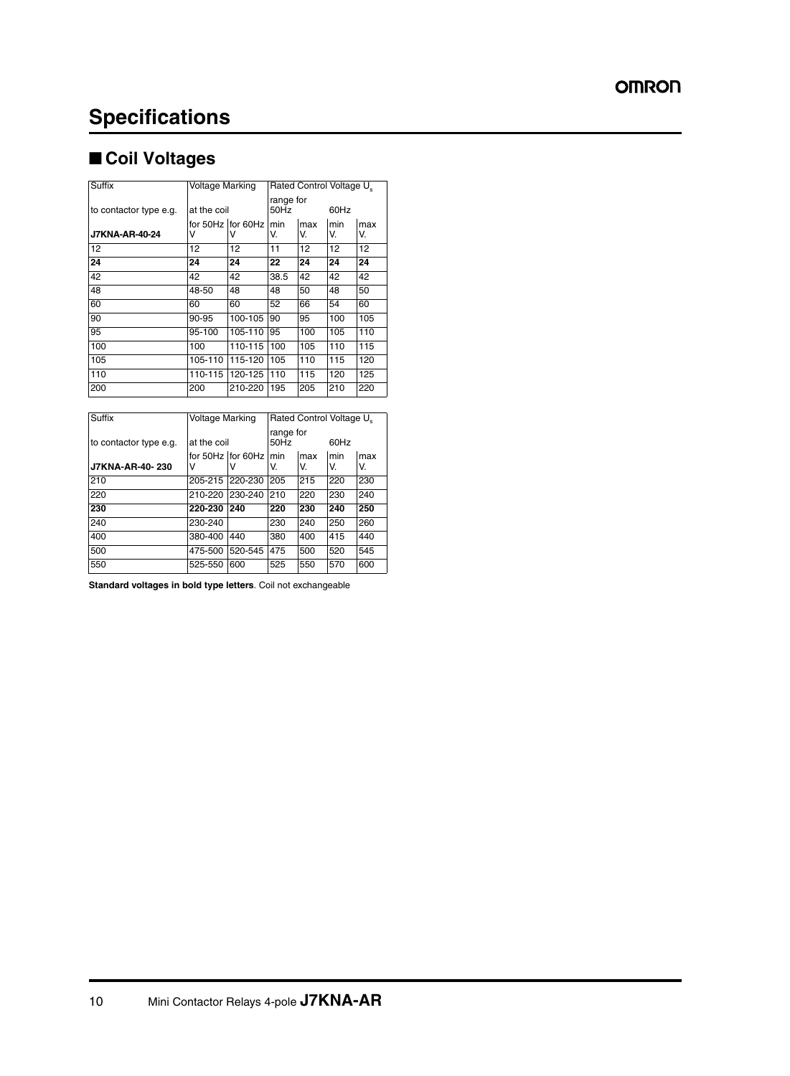# ■ **Coil Voltages**

| <b>Suffix</b>          | Voltage Marking |                    | Rated Control Voltage U. |           |           |           |  |
|------------------------|-----------------|--------------------|--------------------------|-----------|-----------|-----------|--|
| to contactor type e.g. | at the coil     |                    | range for<br>50Hz        |           | 60Hz      |           |  |
| <b>J7KNA-AR-40-24</b>  | V               | for 50Hz Ifor 60Hz | min<br>V.                | max<br>V. | min<br>V. | max<br>V. |  |
| 12                     | 12              | 12                 | 11                       | 12        | 12        | 12        |  |
| 24                     | 24              | 24                 | 22                       | 24        | 24        | 24        |  |
| 42                     | 42              | 42                 | 38.5                     | 42        | 42        | 42        |  |
| 48                     | 48-50           | 48                 | 48                       | 50        | 48        | 50        |  |
| 60                     | 60              | 60                 | 52                       | 66        | 54        | 60        |  |
| 90                     | 90-95           | 100-105            | 90                       | 95        | 100       | 105       |  |
| 95                     | 95-100          | 105-110            | 95                       | 100       | 105       | 110       |  |
| 100                    | 100             | 110-115            | 100                      | 105       | 110       | 115       |  |
| 105                    | 105-110         | 115-120            | 105                      | 110       | 115       | 120       |  |
| 110                    | 110-115         | 120-125            | 110                      | 115       | 120       | 125       |  |
| 200                    | 200             | 210-220            | 195                      | 205       | 210       | 220       |  |

| Suffix                 |             | Voltage Marking       |                   | Rated Control Voltage U. |           |           |  |  |
|------------------------|-------------|-----------------------|-------------------|--------------------------|-----------|-----------|--|--|
| to contactor type e.g. | at the coil |                       | range for<br>50Hz |                          | 60Hz      |           |  |  |
| J7KNA-AR-40-230        | v           | for 50Hz for 60Hz min | V.                | max<br>V.                | min<br>V. | max<br>V. |  |  |
|                        |             |                       |                   |                          |           |           |  |  |
| 210                    | 205-215     | 220-230               | 205               | 215                      | 220       | 230       |  |  |
| 220                    | 210-220     | 230-240               | 210               | 220                      | 230       | 240       |  |  |
| 230                    | 220-230     | 240                   | 220               | 230                      | 240       | 250       |  |  |
| 240                    | 230-240     |                       | 230               | 240                      | 250       | 260       |  |  |
| 400                    | 380-400     | 440                   | 380               | 400                      | 415       | 440       |  |  |
| 500                    | 475-500     | 520-545               | 475               | 500                      | 520       | 545       |  |  |
| 550                    | 525-550     | 600                   | 525               | 550                      | 570       | 600       |  |  |

**Standard voltages in bold type letters**. Coil not exchangeable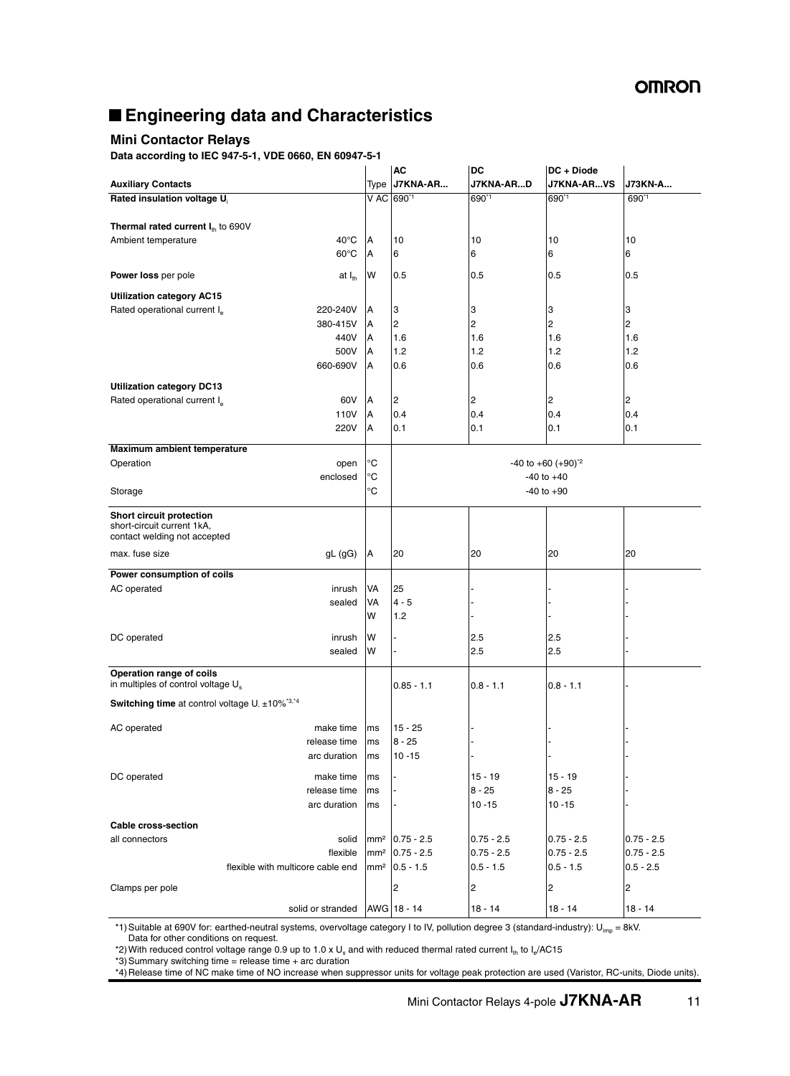# ■ **Engineering data and Characteristics**

### **Mini Contactor Relays**

**Data according to IEC 947-5-1, VDE 0660, EN 60947-5-1**

|                                                                                        |                                    | <b>AC</b>                   | <b>DC</b>                   | DC + Diode                            |                             |  |
|----------------------------------------------------------------------------------------|------------------------------------|-----------------------------|-----------------------------|---------------------------------------|-----------------------------|--|
| <b>Auxiliary Contacts</b>                                                              | Type                               | J7KNA-AR                    | J7KNA-ARD                   | J7KNA-ARVS                            | <b>J73KN-A</b>              |  |
| Rated insulation voltage U                                                             |                                    | V AC 690 <sup>*1</sup>      | 690*1                       | 690*1                                 | 690*1                       |  |
|                                                                                        |                                    |                             |                             |                                       |                             |  |
| <b>Thermal rated current <math>I_{th}</math> to 690V</b>                               |                                    |                             |                             |                                       |                             |  |
| $40^{\circ}$ C<br>Ambient temperature                                                  | A                                  | 10                          | 10                          | 10                                    | 10                          |  |
| $60^{\circ}$ C                                                                         | A                                  | 6                           | 6                           | 6                                     | 6                           |  |
| Power loss per pole<br>at $I_{th}$                                                     | W                                  | 0.5                         | 0.5                         | 0.5                                   | 0.5                         |  |
|                                                                                        |                                    |                             |                             |                                       |                             |  |
| <b>Utilization category AC15</b>                                                       |                                    |                             |                             |                                       |                             |  |
| Rated operational current I <sub>e</sub><br>220-240V                                   | A                                  | 3                           | 3                           | 3                                     | 3                           |  |
| 380-415V                                                                               | Α                                  | 2                           | 2                           | 2                                     | 2                           |  |
| 440V                                                                                   | Α                                  | 1.6                         | 1.6                         | 1.6                                   | 1.6                         |  |
| 500V                                                                                   | Α                                  | 1.2                         | 1.2                         | 1.2                                   | 1.2                         |  |
| 660-690V                                                                               | Α                                  | 0.6                         | 0.6                         | 0.6                                   | 0.6                         |  |
|                                                                                        |                                    |                             |                             |                                       |                             |  |
| <b>Utilization category DC13</b><br>60V                                                |                                    |                             |                             |                                       |                             |  |
| Rated operational current I <sub>e</sub>                                               | Α                                  | 2                           | 2                           | 2                                     | 2                           |  |
| 110V                                                                                   | A                                  | 0.4                         | 0.4                         | 0.4                                   | 0.4                         |  |
| 220V                                                                                   | Α                                  | 0.1                         | 0.1                         | 0.1                                   | 0.1                         |  |
| Maximum ambient temperature                                                            |                                    |                             |                             |                                       |                             |  |
| Operation<br>open                                                                      | °C                                 |                             |                             | $-40$ to $+60$ ( $+90$ ) <sup>2</sup> |                             |  |
| enclosed                                                                               | °C                                 |                             |                             | $-40$ to $+40$                        |                             |  |
| Storage                                                                                | °C                                 | $-40$ to $+90$              |                             |                                       |                             |  |
| Short circuit protection<br>short-circuit current 1kA,<br>contact welding not accepted |                                    |                             |                             |                                       |                             |  |
| max. fuse size<br>gL (gG)                                                              | A                                  | 20                          | 20                          | 20                                    | 20                          |  |
|                                                                                        |                                    |                             |                             |                                       |                             |  |
| Power consumption of coils                                                             |                                    |                             |                             |                                       |                             |  |
| AC operated<br>inrush                                                                  | VA                                 | 25                          |                             |                                       |                             |  |
| sealed                                                                                 | VA                                 | $4 - 5$                     |                             |                                       |                             |  |
|                                                                                        | W                                  | 1.2                         |                             |                                       |                             |  |
| DC operated<br>inrush                                                                  | W                                  |                             | 2.5                         | 2.5                                   |                             |  |
| sealed                                                                                 | w                                  |                             | 2.5                         | 2.5                                   |                             |  |
| Operation range of coils                                                               |                                    |                             |                             |                                       |                             |  |
| in multiples of control voltage U <sub>s</sub>                                         |                                    | $0.85 - 1.1$                | $0.8 - 1.1$                 | $0.8 - 1.1$                           |                             |  |
| Switching time at control voltage U <sub>s</sub> ±10% <sup>*3,*4</sup>                 |                                    |                             |                             |                                       |                             |  |
|                                                                                        |                                    |                             |                             |                                       |                             |  |
| AC operated<br>make time                                                               | ms                                 | $15 - 25$                   |                             |                                       |                             |  |
| release time                                                                           | ms                                 | $8 - 25$                    |                             |                                       |                             |  |
| arc duration                                                                           | ms                                 | $10 - 15$                   |                             |                                       |                             |  |
|                                                                                        |                                    |                             |                             |                                       |                             |  |
| DC operated<br>make time                                                               | ms                                 |                             | $15 - 19$                   | $15 - 19$                             |                             |  |
| release time                                                                           | ms                                 |                             | $8 - 25$                    | $8 - 25$                              |                             |  |
| arc duration                                                                           | ms                                 |                             | $10 - 15$                   | $10 - 15$                             |                             |  |
| <b>Cable cross-section</b>                                                             |                                    |                             |                             |                                       |                             |  |
| solid<br>all connectors                                                                | mm <sup>2</sup>                    | $0.75 - 2.5$                | $0.75 - 2.5$                | $0.75 - 2.5$                          | $0.75 - 2.5$                |  |
| flexible                                                                               |                                    |                             |                             |                                       |                             |  |
| flexible with multicore cable end                                                      | mm <sup>2</sup><br>mm <sup>2</sup> | $0.75 - 2.5$<br>$0.5 - 1.5$ | $0.75 - 2.5$<br>$0.5 - 1.5$ | $0.75 - 2.5$<br>$0.5 - 1.5$           | $0.75 - 2.5$<br>$0.5 - 2.5$ |  |
|                                                                                        |                                    |                             |                             |                                       |                             |  |
| Clamps per pole                                                                        |                                    | 2                           | 2                           | $\overline{c}$                        | $\overline{c}$              |  |
| solid or stranded                                                                      |                                    | AWG 18 - 14                 | $18 - 14$                   | $18 - 14$                             | $18 - 14$                   |  |

\*1) Suitable at 690V for: earthed-neutral systems, overvoltage category I to IV, pollution degree 3 (standard-industry):  $U_{imp} = 8kV$ . Data for other conditions on request.

\*2) With reduced control voltage range 0.9 up to 1.0 x U<sub>s</sub> and with reduced thermal rated current I<sub>th</sub> to I<sub>e</sub>/AC15

\*3) Summary switching time = release time + arc duration

\*4) Release time of NC make time of NO increase when suppressor units for voltage peak protection are used (Varistor, RC-units, Diode units).